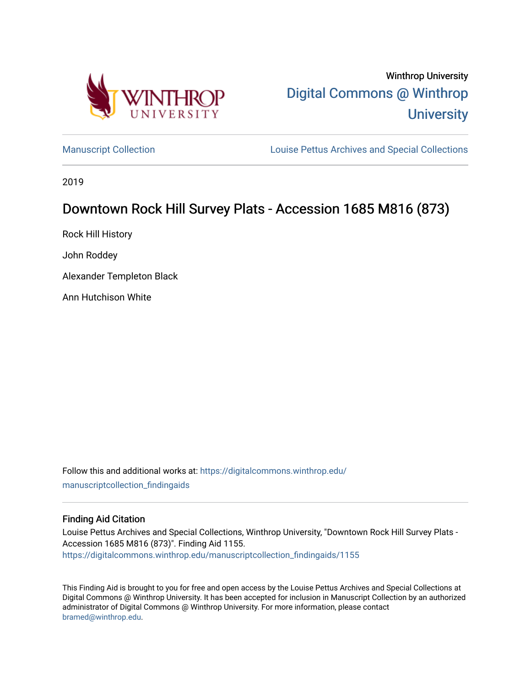

[Manuscript Collection](https://digitalcommons.winthrop.edu/manuscriptcollection_findingaids) **Louise Pettus Archives and Special Collections** 

2019

# Downtown Rock Hill Survey Plats - Accession 1685 M816 (873)

Rock Hill History

John Roddey

Alexander Templeton Black

Ann Hutchison White

Follow this and additional works at: [https://digitalcommons.winthrop.edu/](https://digitalcommons.winthrop.edu/manuscriptcollection_findingaids?utm_source=digitalcommons.winthrop.edu%2Fmanuscriptcollection_findingaids%2F1155&utm_medium=PDF&utm_campaign=PDFCoverPages) [manuscriptcollection\\_findingaids](https://digitalcommons.winthrop.edu/manuscriptcollection_findingaids?utm_source=digitalcommons.winthrop.edu%2Fmanuscriptcollection_findingaids%2F1155&utm_medium=PDF&utm_campaign=PDFCoverPages) 

### Finding Aid Citation

Louise Pettus Archives and Special Collections, Winthrop University, "Downtown Rock Hill Survey Plats - Accession 1685 M816 (873)". Finding Aid 1155. [https://digitalcommons.winthrop.edu/manuscriptcollection\\_findingaids/1155](https://digitalcommons.winthrop.edu/manuscriptcollection_findingaids/1155?utm_source=digitalcommons.winthrop.edu%2Fmanuscriptcollection_findingaids%2F1155&utm_medium=PDF&utm_campaign=PDFCoverPages) 

This Finding Aid is brought to you for free and open access by the Louise Pettus Archives and Special Collections at Digital Commons @ Winthrop University. It has been accepted for inclusion in Manuscript Collection by an authorized administrator of Digital Commons @ Winthrop University. For more information, please contact [bramed@winthrop.edu.](mailto:bramed@winthrop.edu)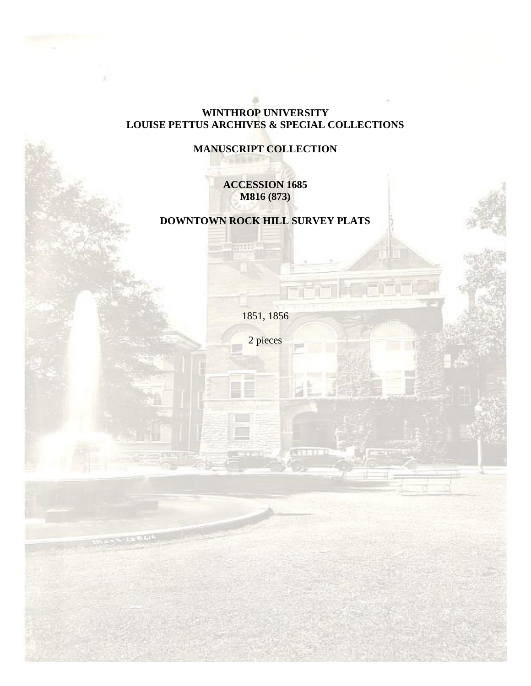# **WINTHROP UNIVERSITY LOUISE PETTUS ARCHIVES & SPECIAL COLLECTIONS**

# **MANUSCRIPT COLLECTION**

# **ACCESSION 1685 M816 (873)**

# **DOWNTOWN ROCK HILL SURVEY PLATS**

1851, 1856

2 pieces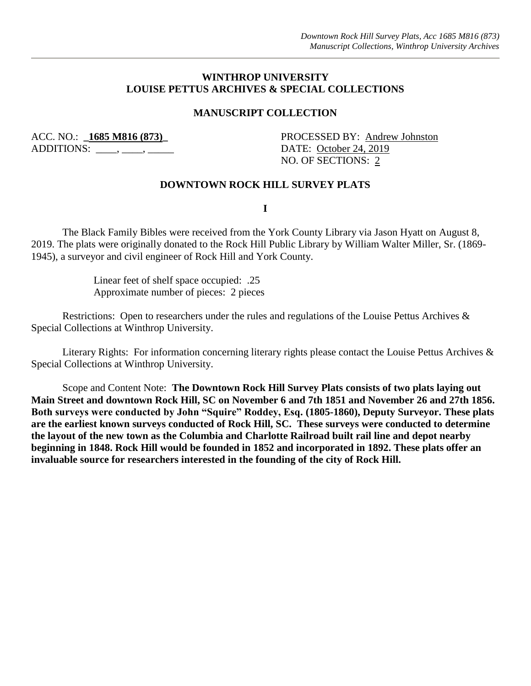## **WINTHROP UNIVERSITY LOUISE PETTUS ARCHIVES & SPECIAL COLLECTIONS**

## **MANUSCRIPT COLLECTION**

ADDITIONS:  $\qquad \qquad , \qquad$ 

ACC. NO.: **1685 M816 (873)**<br>
PROCESSED BY: <u>Andrew Johnston</u> NO. OF SECTIONS: 2

#### **DOWNTOWN ROCK HILL SURVEY PLATS**

**I**

The Black Family Bibles were received from the York County Library via Jason Hyatt on August 8, 2019. The plats were originally donated to the Rock Hill Public Library by William Walter Miller, Sr. (1869- 1945), a surveyor and civil engineer of Rock Hill and York County.

> Linear feet of shelf space occupied: .25 Approximate number of pieces: 2 pieces

Restrictions: Open to researchers under the rules and regulations of the Louise Pettus Archives & Special Collections at Winthrop University.

Literary Rights: For information concerning literary rights please contact the Louise Pettus Archives & Special Collections at Winthrop University.

Scope and Content Note: **The Downtown Rock Hill Survey Plats consists of two plats laying out Main Street and downtown Rock Hill, SC on November 6 and 7th 1851 and November 26 and 27th 1856. Both surveys were conducted by John "Squire" Roddey, Esq. (1805-1860), Deputy Surveyor. These plats are the earliest known surveys conducted of Rock Hill, SC. These surveys were conducted to determine the layout of the new town as the Columbia and Charlotte Railroad built rail line and depot nearby beginning in 1848. Rock Hill would be founded in 1852 and incorporated in 1892. These plats offer an invaluable source for researchers interested in the founding of the city of Rock Hill.**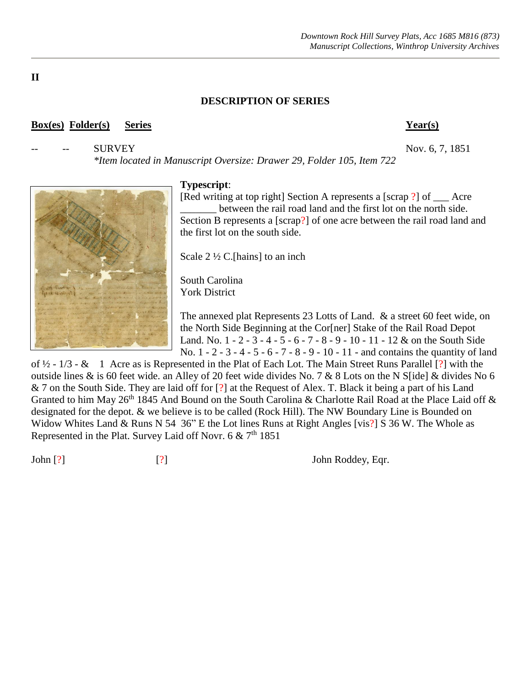# **DESCRIPTION OF SERIES**

### **Box(es) Folder(s) Series Year(s)**

SURVEY Nov. 6, 7, 1851

*\*Item located in Manuscript Oversize: Drawer 29, Folder 105, Item 722*

### **Typescript**:

[Red writing at top right] Section A represents a [scrap ?] of \_\_\_ Acre between the rail road land and the first lot on the north side. Section B represents a [scrap?] of one acre between the rail road land and the first lot on the south side.

Scale  $2\frac{1}{2}$  C.[hains] to an inch

South Carolina York District

The annexed plat Represents 23 Lotts of Land. & a street 60 feet wide, on the North Side Beginning at the Cor[ner] Stake of the Rail Road Depot Land. No. 1 - 2 - 3 - 4 - 5 - 6 - 7 - 8 - 9 - 10 - 11 - 12 & on the South Side No. 1 - 2 - 3 - 4 - 5 - 6 - 7 - 8 - 9 - 10 - 11 - and contains the quantity of land

of ½ - 1/3 - & 1 Acre as is Represented in the Plat of Each Lot. The Main Street Runs Parallel [?] with the outside lines & is 60 feet wide. an Alley of 20 feet wide divides No. 7 & 8 Lots on the N S[ide] & divides No 6 & 7 on the South Side. They are laid off for [?] at the Request of Alex. T. Black it being a part of his Land Granted to him May 26<sup>th</sup> 1845 And Bound on the South Carolina & Charlotte Rail Road at the Place Laid off  $\&$ designated for the depot. & we believe is to be called (Rock Hill). The NW Boundary Line is Bounded on Widow Whites Land & Runs N 54 36" E the Lot lines Runs at Right Angles [vis?] S 36 W. The Whole as Represented in the Plat. Survey Laid off Novr. 6 &  $7<sup>th</sup>$  1851

John  $[?]$  [?] John Roddey, Eqr.